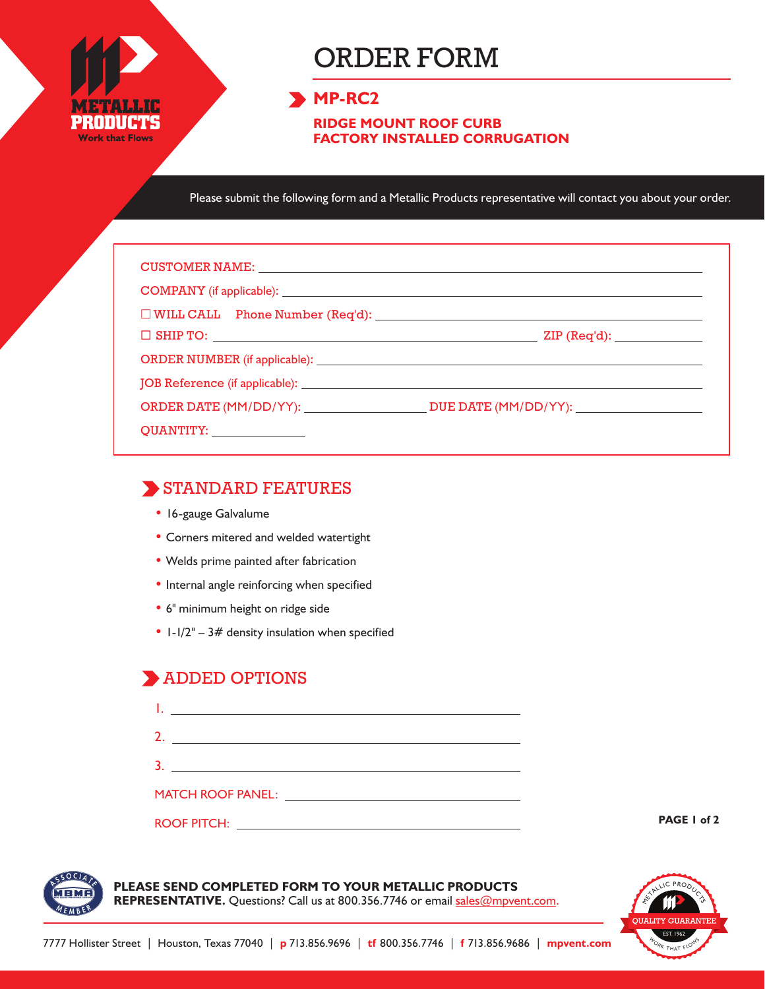

# ORDER FORM

### **MP-RC2**

**RIDGE MOUNT ROOF CURB FACTORY INSTALLED CORRUGATION**

Please submit the following form and a Metallic Products representative will contact you about your order.

| CUSTOMER NAME: NAME: NAME AND A SERIES OF THE CONTRACT OF THE CONTRACT OF THE CONTRACT OF THE CONTRACT OF THE CONTRACT OF THE CONTRACT OF THE CONTRACT OF THE CONTRACT OF THE CONTRACT OF THE CONTRACT OF THE CONTRACT OF THE |                                            |  |
|-------------------------------------------------------------------------------------------------------------------------------------------------------------------------------------------------------------------------------|--------------------------------------------|--|
|                                                                                                                                                                                                                               |                                            |  |
| $\square$ WILL CALL Phone Number (Req'd): $\square$                                                                                                                                                                           |                                            |  |
|                                                                                                                                                                                                                               | $\mathsf{ZIP}\left(\mathsf{Req'd}\right):$ |  |
|                                                                                                                                                                                                                               |                                            |  |
|                                                                                                                                                                                                                               |                                            |  |
|                                                                                                                                                                                                                               |                                            |  |
| QUANTITY: ________________                                                                                                                                                                                                    |                                            |  |

#### STANDARD FEATURES

- 16-gauge Galvalume
- Corners mitered and welded watertight
- Welds prime painted after fabrication
- Internal angle reinforcing when specified
- 6" minimum height on ridge side
- $1-1/2'' 3#$  density insulation when specified

# **ADDED OPTIONS**

| <b>MATCH ROOF PANEL:</b> | <u> 1989 - Andrea Albert III, politik a postal de la provincia de la provincia de la provincia de la provincia d</u> |  |
|--------------------------|----------------------------------------------------------------------------------------------------------------------|--|
| <b>ROOF PITCH:</b>       |                                                                                                                      |  |

**PAGE 1 of 2**



**PLEASE SEND COMPLETED FORM TO YOUR METALLIC PRODUCTS** 

REPRESENTATIVE. Questions? Call us at 800.356.7746 or email sales@mpvent.com.